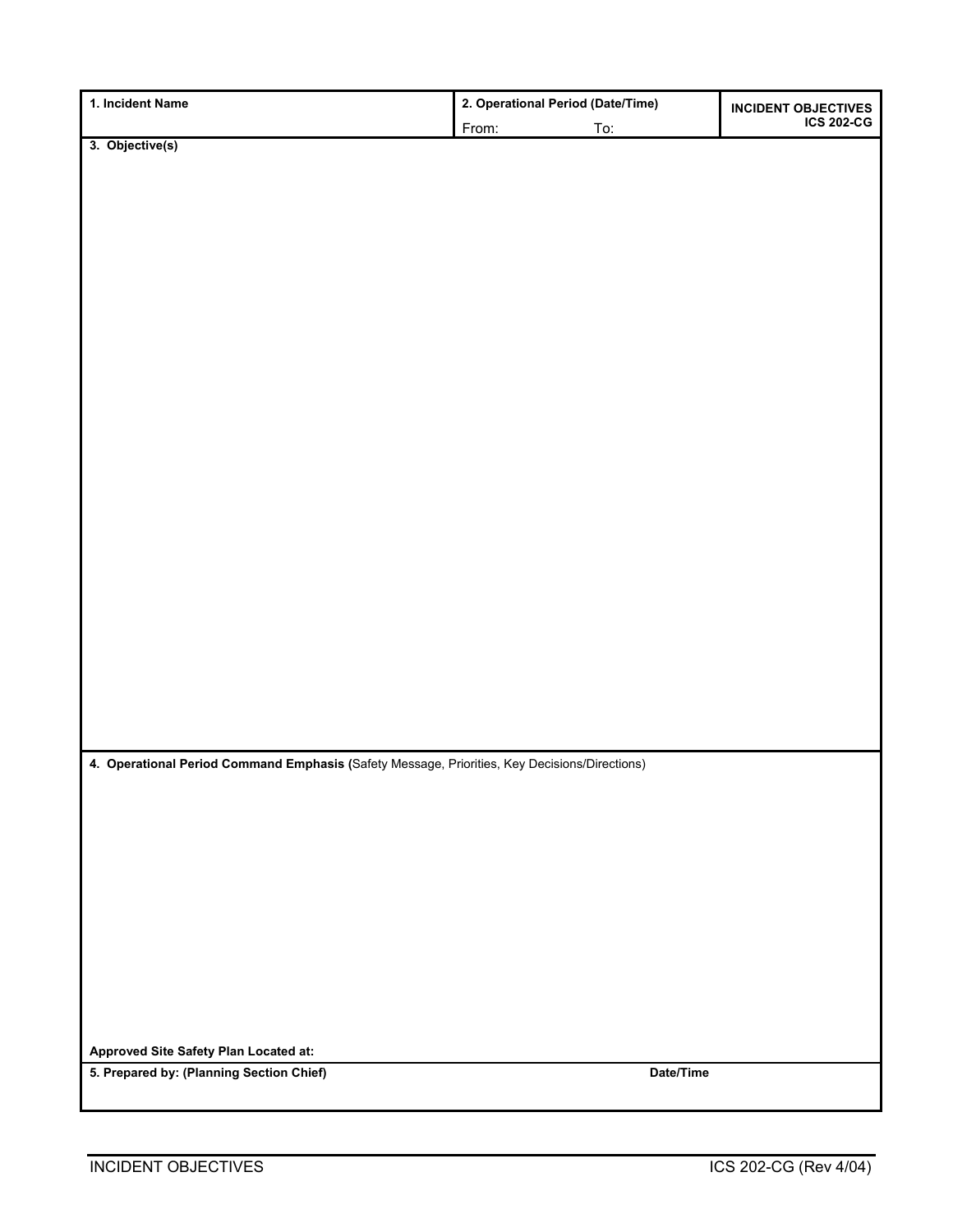| 1. Incident Name                                                                              | 2. Operational Period (Date/Time) |           |                                                 |
|-----------------------------------------------------------------------------------------------|-----------------------------------|-----------|-------------------------------------------------|
|                                                                                               | From:                             | To:       | <b>INCIDENT OBJECTIVES</b><br><b>ICS 202-CG</b> |
| $3.$ Objective(s)                                                                             |                                   |           |                                                 |
|                                                                                               |                                   |           |                                                 |
|                                                                                               |                                   |           |                                                 |
|                                                                                               |                                   |           |                                                 |
|                                                                                               |                                   |           |                                                 |
|                                                                                               |                                   |           |                                                 |
|                                                                                               |                                   |           |                                                 |
|                                                                                               |                                   |           |                                                 |
|                                                                                               |                                   |           |                                                 |
|                                                                                               |                                   |           |                                                 |
|                                                                                               |                                   |           |                                                 |
|                                                                                               |                                   |           |                                                 |
|                                                                                               |                                   |           |                                                 |
|                                                                                               |                                   |           |                                                 |
|                                                                                               |                                   |           |                                                 |
|                                                                                               |                                   |           |                                                 |
|                                                                                               |                                   |           |                                                 |
|                                                                                               |                                   |           |                                                 |
|                                                                                               |                                   |           |                                                 |
|                                                                                               |                                   |           |                                                 |
|                                                                                               |                                   |           |                                                 |
|                                                                                               |                                   |           |                                                 |
|                                                                                               |                                   |           |                                                 |
|                                                                                               |                                   |           |                                                 |
|                                                                                               |                                   |           |                                                 |
|                                                                                               |                                   |           |                                                 |
|                                                                                               |                                   |           |                                                 |
|                                                                                               |                                   |           |                                                 |
| 4. Operational Period Command Emphasis (Safety Message, Priorities, Key Decisions/Directions) |                                   |           |                                                 |
|                                                                                               |                                   |           |                                                 |
|                                                                                               |                                   |           |                                                 |
|                                                                                               |                                   |           |                                                 |
|                                                                                               |                                   |           |                                                 |
|                                                                                               |                                   |           |                                                 |
|                                                                                               |                                   |           |                                                 |
|                                                                                               |                                   |           |                                                 |
|                                                                                               |                                   |           |                                                 |
|                                                                                               |                                   |           |                                                 |
|                                                                                               |                                   |           |                                                 |
|                                                                                               |                                   |           |                                                 |
|                                                                                               |                                   |           |                                                 |
| Approved Site Safety Plan Located at:                                                         |                                   |           |                                                 |
| 5. Prepared by: (Planning Section Chief)                                                      |                                   | Date/Time |                                                 |
|                                                                                               |                                   |           |                                                 |